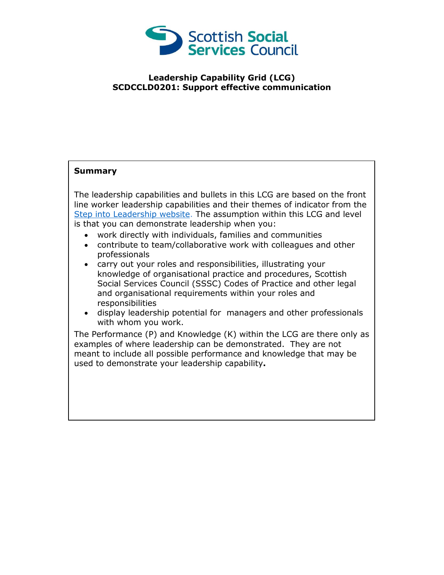

## **Leadership Capability Grid (LCG) SCDCCLD0201: Support effective communication**

## **Summary**

The leadership capabilities and bullets in this LCG are based on the front line worker leadership capabilities and their themes of indicator from the [Step into Leadership website.](http://www.stepintoleadership.info/) The assumption within this LCG and level is that you can demonstrate leadership when you:

- work directly with individuals, families and communities
- contribute to team/collaborative work with colleagues and other professionals
- carry out your roles and responsibilities, illustrating your knowledge of organisational practice and procedures, Scottish Social Services Council (SSSC) Codes of Practice and other legal and organisational requirements within your roles and responsibilities
- display leadership potential for managers and other professionals with whom you work.

The Performance (P) and Knowledge (K) within the LCG are there only as examples of where leadership can be demonstrated. They are not meant to include all possible performance and knowledge that may be used to demonstrate your leadership capability**.**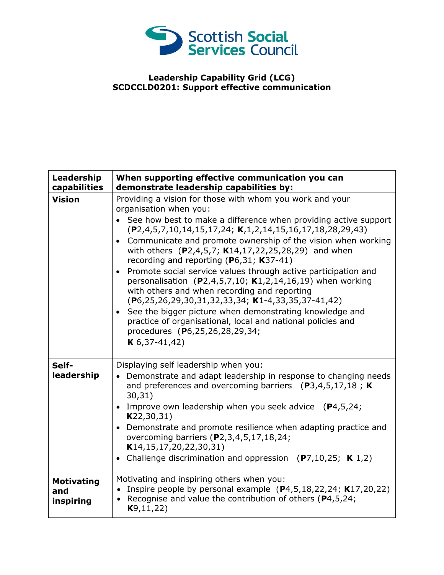

## **Leadership Capability Grid (LCG) SCDCCLD0201: Support effective communication**

| Leadership<br>capabilities            | When supporting effective communication you can<br>demonstrate leadership capabilities by:                                                                                                                                                                                                                                                                                                                                                                                                                                                                                                                                                                                                                                                                                                                                                     |
|---------------------------------------|------------------------------------------------------------------------------------------------------------------------------------------------------------------------------------------------------------------------------------------------------------------------------------------------------------------------------------------------------------------------------------------------------------------------------------------------------------------------------------------------------------------------------------------------------------------------------------------------------------------------------------------------------------------------------------------------------------------------------------------------------------------------------------------------------------------------------------------------|
| <b>Vision</b>                         | Providing a vision for those with whom you work and your<br>organisation when you:<br>• See how best to make a difference when providing active support<br>$(P2, 4, 5, 7, 10, 14, 15, 17, 24; K, 1, 2, 14, 15, 16, 17, 18, 28, 29, 43)$<br>Communicate and promote ownership of the vision when working<br>with others (P2,4,5,7; K14,17,22,25,28,29) and when<br>recording and reporting (P6,31; K37-41)<br>• Promote social service values through active participation and<br>personalisation (P2,4,5,7,10; K1,2,14,16,19) when working<br>with others and when recording and reporting<br>$(P6, 25, 26, 29, 30, 31, 32, 33, 34; K1-4, 33, 35, 37-41, 42)$<br>• See the bigger picture when demonstrating knowledge and<br>practice of organisational, local and national policies and<br>procedures (P6,25,26,28,29,34;<br>$K$ 6,37-41,42) |
| Self-<br>leadership                   | Displaying self leadership when you:<br>Demonstrate and adapt leadership in response to changing needs<br>$\bullet$<br>and preferences and overcoming barriers $(P3,4,5,17,18; K)$<br>30,31)<br>• Improve own leadership when you seek advice $(P4,5,24)$ ;<br>K22, 30, 31)<br>• Demonstrate and promote resilience when adapting practice and<br>overcoming barriers (P2,3,4,5,17,18,24;<br>K14, 15, 17, 20, 22, 30, 31)<br>• Challenge discrimination and oppression $(P7, 10, 25; K 1, 2)$                                                                                                                                                                                                                                                                                                                                                  |
| <b>Motivating</b><br>and<br>inspiring | Motivating and inspiring others when you:<br>• Inspire people by personal example $(P4,5,18,22,24; K17,20,22)$<br>• Recognise and value the contribution of others ( $P4, 5, 24$ ;<br>K9, 11, 22)                                                                                                                                                                                                                                                                                                                                                                                                                                                                                                                                                                                                                                              |